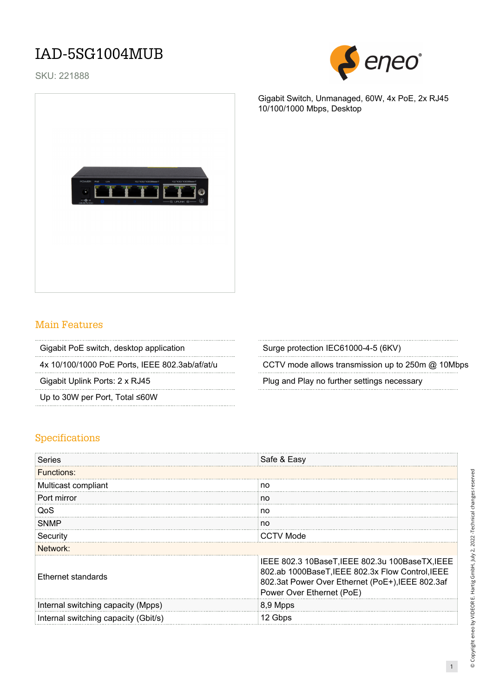## IAD-5SG1004MUB

SKU: 221888



Gigabit Switch, Unmanaged, 60W, 4x PoE, 2x RJ45 10/100/1000 Mbps, Desktop



## Main Features

| Gigabit PoE switch, desktop application | Surge protection IEC61000-4-5 (6KV) |
|-----------------------------------------|-------------------------------------|
|                                         |                                     |

Up to 30W per Port, Total ≤60W

4x 10/100/1000 PoE Ports, IEEE 802.3ab/af/at/u CCTV mode allows transmission up to 250m @ 10Mbps

Gigabit Uplink Ports: 2 x RJ45 Plug and Play no further settings necessary

## Specifications

| Series                               | Safe & Easy                                                                                                                                                                          |
|--------------------------------------|--------------------------------------------------------------------------------------------------------------------------------------------------------------------------------------|
| <b>Functions:</b>                    |                                                                                                                                                                                      |
| Multicast compliant                  | no                                                                                                                                                                                   |
| Port mirror                          | no                                                                                                                                                                                   |
| QoS                                  | no                                                                                                                                                                                   |
| <b>SNMP</b>                          | no                                                                                                                                                                                   |
| Security                             | <b>CCTV Mode</b>                                                                                                                                                                     |
| Network:                             |                                                                                                                                                                                      |
| Ethernet standards                   | IEEE 802.3 10BaseT, IEEE 802.3u 100BaseTX, IEEE<br>802.ab 1000BaseT, IEEE 802.3x Flow Control, IEEE<br>802.3at Power Over Ethernet (PoE+), IEEE 802.3af<br>Power Over Ethernet (PoE) |
| Internal switching capacity (Mpps)   | 8,9 Mpps                                                                                                                                                                             |
| Internal switching capacity (Gbit/s) | 12 Gbps                                                                                                                                                                              |